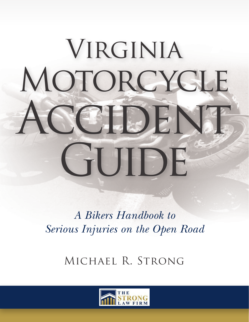# VIRGINIA MOTORCYCLE CCIDENT GUIDE

*A Bikers Handbook to Serious Injuries on the Open Road*

Michael R. Strong

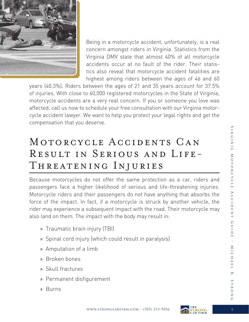

Being in a motorcycle accident, unfortunately, is a real concern amongst riders in Virginia. Statistics from the Virginia DMV state that almost 40% of all motorcycle accidents occur at no fault of the rider. Their statistics also reveal that motorcycle accident fatalities are highest among riders between the ages of 46 and 60

years (40.3%). Riders between the ages of 21 and 35 years account for 37.5% of injuries. With close to 60,000 registered motorcycles in the State of Virginia, motorcycle accidents are a very real concern. If you or someone you love was affected, call us now to schedule your free consultation with our Virginia motorcycle accident lawyer. We want to help you protect your legal rights and get the compensation that you deserve.

## MOTORCYCLE ACCIDENTS CAN Result in Serious and Life-Threatening Injuries

Because motorcycles do not offer the same protection as a car, riders and passengers face a higher likelihood of serious and life-threatening injuries. Motorcycle riders and their passengers do not have anything that absorbs the force of the impact. In fact, if a motorcycle is struck by another vehicle, the rider may experience a subsequent impact with the road. Their motorcycle may also land on them. The impact with the body may result in:

- » Traumatic brain injury (TBI)
- » Spinal cord injury (which could result in paralysis)
- » Amputation of a limb
- » Broken bones
- » Skull fractures
- » Permanent disfigurement
- » Burns



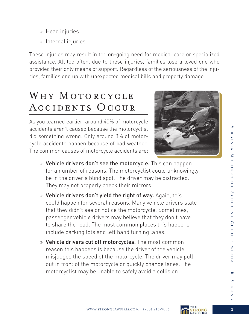- » Head injuries
- » Internal injuries

These injuries may result in the on-going need for medical care or specialized assistance. All too often, due to these injuries, families lose a loved one who provided their only means of support. Regardless of the seriousness of the injuries, families end up with unexpected medical bills and property damage.

## WHY MOTORCYCLE Accidents Occur

As you learned earlier, around 40% of motorcycle accidents aren't caused because the motorcyclist did something wrong. Only around 3% of motorcycle accidents happen because of bad weather. The common causes of motorcycle accidents are:



- » Vehicle drivers don't see the motorcycle. This can happen for a number of reasons. The motorcyclist could unknowingly be in the driver's blind spot. The driver may be distracted. They may not properly check their mirrors.
- » Vehicle drivers don't yield the right of way. Again, this could happen for several reasons. Many vehicle drivers state that they didn't see or notice the motorcycle. Sometimes, passenger vehicle drivers may believe that they don't have to share the road. The most common places this happens include parking lots and left hand turning lanes.
- » Vehicle drivers cut off motorcycles. The most common reason this happens is because the driver of the vehicle misjudges the speed of the motorcycle. The driver may pull out in front of the motorcycle or quickly change lanes. The motorcyclist may be unable to safely avoid a collision.



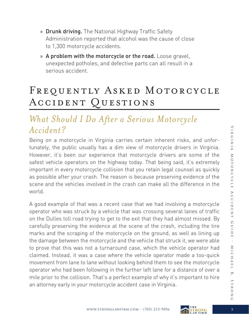- » Drunk driving. The National Highway Traffic Safety Administration reported that alcohol was the cause of close to 1,300 motorcycle accidents.
- » A problem with the motorcycle or the road. Loose gravel, unexpected potholes, and defective parts can all result in a serious accident.

## FREQUENTLY ASKED MOTORCYCLE Accident Questions

#### *What Should I Do After a Serious Motorcycle Accident?*

Being on a motorcycle in Virginia carries certain inherent risks, and unfortunately, the public usually has a dim view of motorcycle drivers in Virginia. However, it's been our experience that motorcycle drivers are some of the safest vehicle operators on the highway today. That being said, it's extremely important in every motorcycle collision that you retain legal counsel as quickly as possible after your crash. The reason is because preserving evidence of the scene and the vehicles involved in the crash can make all the difference in the world.

A good example of that was a recent case that we had involving a motorcycle operator who was struck by a vehicle that was crossing several lanes of traffic on the Dulles toll road trying to get to the exit that they had almost missed. By carefully preserving the evidence at the scene of the crash, including the tire marks and the scraping of the motorcycle on the ground, as well as lining up the damage between the motorcycle and the vehicle that struck it, we were able to prove that this was not a turnaround case, which the vehicle operator had claimed. Instead, it was a case where the vehicle operator made a too-quick movement from lane to lane without looking behind them to see the motorcycle operator who had been following in the further left lane for a distance of over a mile prior to the collision. That's a perfect example of why it's important to hire an attorney early in your motorcycle accident case in Virginia.

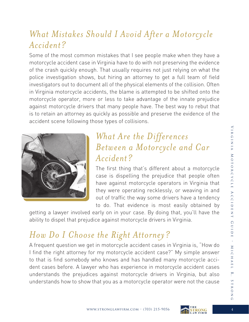#### *What Mistakes Should I Avoid After a Motorcycle Accident?*

Some of the most common mistakes that I see people make when they have a motorcycle accident case in Virginia have to do with not preserving the evidence of the crash quickly enough. That usually requires not just relying on what the police investigation shows, but hiring an attorney to get a full team of field investigators out to document all of the physical elements of the collision. Often in Virginia motorcycle accidents, the blame is attempted to be shifted onto the motorcycle operator, more or less to take advantage of the innate prejudice against motorcycle drivers that many people have. The best way to rebut that is to retain an attorney as quickly as possible and preserve the evidence of the accident scene following those types of collisions.



#### *What Are the Differences Between a Motorcycle and Car Accident?*

The first thing that's different about a motorcycle case is dispelling the prejudice that people often have against motorcycle operators in Virginia that they were operating recklessly, or weaving in and out of traffic the way some drivers have a tendency to do. That evidence is most easily obtained by

getting a lawyer involved early on in your case. By doing that, you'll have the ability to dispel that prejudice against motorcycle drivers in Virginia.

## *How Do I Choose the Right Attorney?*

A frequent question we get in motorcycle accident cases in Virginia is, "How do I find the right attorney for my motorcycle accident case?" My simple answer to that is find somebody who knows and has handled many motorcycle accident cases before. A lawyer who has experience in motorcycle accident cases understands the prejudices against motorcycle drivers in Virginia, but also understands how to show that you as a motorcycle operator were not the cause

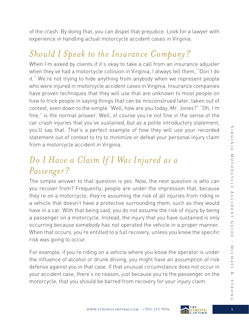of the crash. By doing that, you can dispel that prejudice. Look for a lawyer with experience in handling actual motorcycle accident cases in Virginia.

#### *Should I Speak to the Insurance Company?*

When I'm asked by clients if it's okay to take a call from an insurance adjuster when they've had a motorcycle collision in Virginia, I always tell them, "Don't do it." We're not trying to hide anything from anybody when we represent people who were injured in motorcycle accident cases in Virginia. Insurance companies have proven techniques that they will use that are unknown to most people on how to trick people in saying things that can be misconstrued later, taken out of context, even down to the simple "Well, how are you today, Mr. Jones?" "Oh, I'm fine," is the normal answer. Well, of course you're not fine in the sense of the car crash injuries that you've sustained, but as a polite introductory statement, you'll say that. That's a perfect example of how they will use your recorded statement out of context to try to minimize or defeat your personal injury claim from a motorcycle accident in Virginia.

#### *Do I Have a Claim If I Was Injured as a Passenger?*

The simple answer to that question is yes. Now, the next question is who can you recover from? Frequently, people are under the impression that, because they're on a motorcycle, they're assuming the risk of all injuries from riding in a vehicle that doesn't have a protective surrounding them, such as they would have in a car. With that being said, you do not assume the risk of injury by being a passenger on a motorcycle. Instead, the injury that you have sustained is only occurring because somebody has not operated the vehicle in a proper manner. When that occurs, you're entitled to a full recovery, unless you knew the specific risk was going to occur.

For example, if you're riding on a vehicle where you know the operator is under the influence of alcohol or drunk driving, you might have an assumption of risk defense against you in that case. If that unusual circumstance does not occur in your accident case, there's no reason, just because you're the passenger on the motorcycle, that you should be barred from recovery for your injury claim.

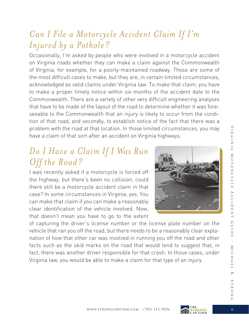#### *Can I File a Motorcycle Accident Claim If I'm Injured by a Pothole?*

Occasionally, I'm asked by people who were involved in a motorcycle accident on Virginia roads whether they can make a claim against the Commonwealth of Virginia, for example, for a poorly-maintained roadway. Those are some of the most difficult cases to make, but they are, in certain limited circumstances, acknowledged as valid claims under Virginia law. To make that claim, you have to make a proper timely notice within six months of the accident date to the Commonwealth. There are a variety of other very difficult engineering analyses that have to be made of the layout of the road to determine whether it was foreseeable to the Commonwealth that an injury is likely to occur from the condition of that road, and secondly, to establish notice of the fact that there was a problem with the road at that location. In those limited circumstances, you may have a claim of that sort after an accident on Virginia highways.

#### *Do I Have a Claim If I Was Run Off the Road?*

I was recently asked if a motorcycle is forced off the highway, but there's been no collision, could there still be a motorcycle accident claim in that case? In some circumstances in Virginia, yes. You can make that claim if you can make a reasonably clear identification of the vehicle involved. Now, that doesn't mean you have to go to the extent



of capturing the driver's license number or the license plate number on the vehicle that ran you off the road, but there needs to be a reasonably clear explanation of how that other car was involved in running you off the road and other facts such as the skid marks on the road that would tend to suggest that, in fact, there was another driver responsible for that crash. In those cases, under Virginia law, you would be able to make a claim for that type of an injury.

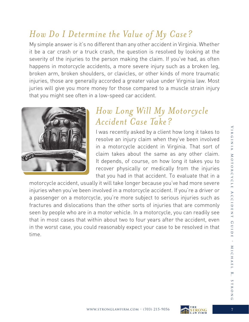### *How Do I Determine the Value of My Case?*

My simple answer is it's no different than any other accident in Virginia. Whether it be a car crash or a truck crash, the question is resolved by looking at the severity of the injuries to the person making the claim. If you've had, as often happens in motorcycle accidents, a more severe injury such as a broken leg, broken arm, broken shoulders, or clavicles, or other kinds of more traumatic injuries, those are generally accorded a greater value under Virginia law. Most juries will give you more money for those compared to a muscle strain injury that you might see often in a low-speed car accident.



#### *How Long Will My Motorcycle Accident Case Take?*

I was recently asked by a client how long it takes to resolve an injury claim when they've been involved in a motorcycle accident in Virginia. That sort of claim takes about the same as any other claim. It depends, of course, on how long it takes you to recover physically or medically from the injuries that you had in that accident. To evaluate that in a

motorcycle accident, usually it will take longer because you've had more severe injuries when you've been involved in a motorcycle accident. If you're a driver or a passenger on a motorcycle, you're more subject to serious injuries such as fractures and dislocations than the other sorts of injuries that are commonly seen by people who are in a motor vehicle. In a motorcycle, you can readily see that in most cases that within about two to four years after the accident, even in the worst case, you could reasonably expect your case to be resolved in that time.



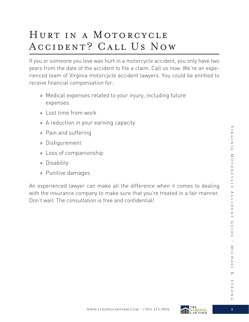## HURT IN A MOTORCYCLE Accident? Call Us Now

If you or someone you love was hurt in a motorcycle accident, you only have two years from the date of the accident to file a claim. Call us now. We're an experienced team of Virginia motorcycle accident lawyers. You could be entitled to receive financial compensation for:

- » Medical expenses related to your injury, including future expenses
- » Lost time from work
- » A reduction in your earning capacity
- » Pain and suffering
- » Disfigurement
- » Loss of companionship
- » Disability
- » Punitive damages

An experienced lawyer can make all the difference when it comes to dealing with the insurance company to make sure that you're treated in a fair manner. Don't wait. The consultation is free and confidential!



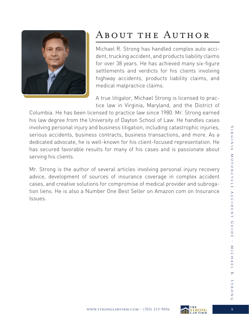

# About the Author

Michael R. Strong has handled complex auto accident, trucking accident, and products liability claims for over 38 years. He has achieved many six-figure settlements and verdicts for his clients involving highway accidents, products liability claims, and medical malpractice claims.

A true litigator, Michael Strong is licensed to practice law in Virginia, Maryland, and the District of

Columbia. He has been licensed to practice law since 1980. Mr. Strong earned his law degree from the University of Dayton School of Law. He handles cases involving personal injury and business litigation, including catastrophic injuries, serious accidents, business contracts, business transactions, and more. As a dedicated advocate, he is well-known for his client-focused representation. He has secured favorable results for many of his cases and is passionate about serving his clients.

Mr. Strong is the author of several articles involving personal injury recovery advice, development of sources of insurance coverage in complex accident cases, and creative solutions for compromise of medical provider and subrogation liens. He is also a Number One Best Seller on Amazon com on Insurance Issues.